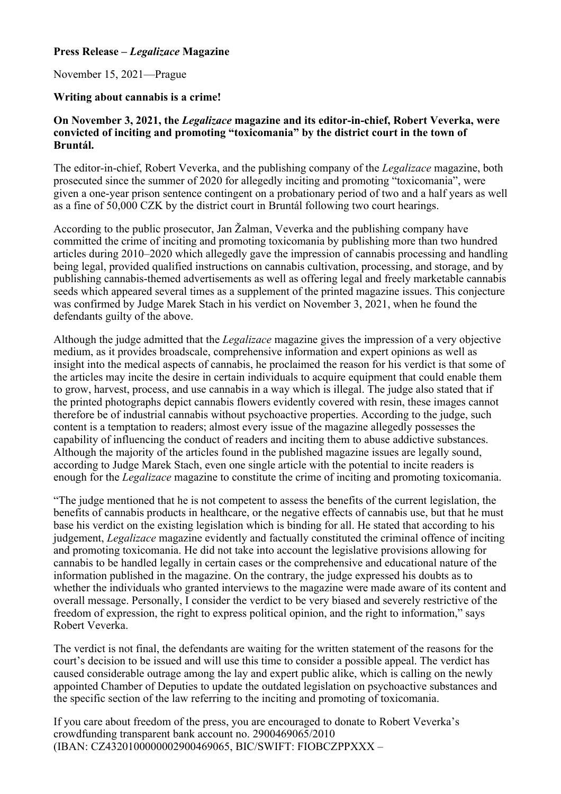## **Press Release –** *Legalizace* **Magazine**

November 15, 2021—Prague

## **Writing about cannabis is a crime!**

## **On November 3, 2021, the** *Legalizace* **magazine and its editor-in-chief, Robert Veverka, were convicted of inciting and promoting "toxicomania" by the district court in the town of Bruntál.**

The editor-in-chief, Robert Veverka, and the publishing company of the *Legalizace* magazine, both prosecuted since the summer of 2020 for allegedly inciting and promoting "toxicomania", were given a one-year prison sentence contingent on a probationary period of two and a half years as well as a fine of 50,000 CZK by the district court in Bruntál following two court hearings.

According to the public prosecutor, Jan Žalman, Veverka and the publishing company have committed the crime of inciting and promoting toxicomania by publishing more than two hundred articles during 2010–2020 which allegedly gave the impression of cannabis processing and handling being legal, provided qualified instructions on cannabis cultivation, processing, and storage, and by publishing cannabis-themed advertisements as well as offering legal and freely marketable cannabis seeds which appeared several times as a supplement of the printed magazine issues. This conjecture was confirmed by Judge Marek Stach in his verdict on November 3, 2021, when he found the defendants guilty of the above.

Although the judge admitted that the *Legalizace* magazine gives the impression of a very objective medium, as it provides broadscale, comprehensive information and expert opinions as well as insight into the medical aspects of cannabis, he proclaimed the reason for his verdict is that some of the articles may incite the desire in certain individuals to acquire equipment that could enable them to grow, harvest, process, and use cannabis in a way which is illegal. The judge also stated that if the printed photographs depict cannabis flowers evidently covered with resin, these images cannot therefore be of industrial cannabis without psychoactive properties. According to the judge, such content is a temptation to readers; almost every issue of the magazine allegedly possesses the capability of influencing the conduct of readers and inciting them to abuse addictive substances. Although the majority of the articles found in the published magazine issues are legally sound, according to Judge Marek Stach, even one single article with the potential to incite readers is enough for the *Legalizace* magazine to constitute the crime of inciting and promoting toxicomania.

"The judge mentioned that he is not competent to assess the benefits of the current legislation, the benefits of cannabis products in healthcare, or the negative effects of cannabis use, but that he must base his verdict on the existing legislation which is binding for all. He stated that according to his judgement, *Legalizace* magazine evidently and factually constituted the criminal offence of inciting and promoting toxicomania. He did not take into account the legislative provisions allowing for cannabis to be handled legally in certain cases or the comprehensive and educational nature of the information published in the magazine. On the contrary, the judge expressed his doubts as to whether the individuals who granted interviews to the magazine were made aware of its content and overall message. Personally, I consider the verdict to be very biased and severely restrictive of the freedom of expression, the right to express political opinion, and the right to information," says Robert Veverka.

The verdict is not final, the defendants are waiting for the written statement of the reasons for the court's decision to be issued and will use this time to consider a possible appeal. The verdict has caused considerable outrage among the lay and expert public alike, which is calling on the newly appointed Chamber of Deputies to update the outdated legislation on psychoactive substances and the specific section of the law referring to the inciting and promoting of toxicomania.

If you care about freedom of the press, you are encouraged to donate to Robert Veverka's crowdfunding transparent bank account no. 2900469065/2010 (IBAN: CZ4320100000002900469065, BIC/SWIFT: FIOBCZPPXXX –